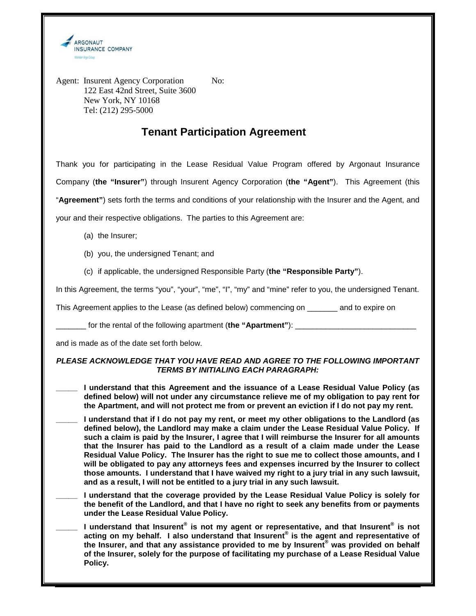

Agent: Insurent Agency Corporation No: 122 East 42nd Street, Suite 3600 New York, NY 10168 Tel: (212) 295-5000

## **Tenant Participation Agreement**

Thank you for participating in the Lease Residual Value Program offered by Argonaut Insurance Company (**the "Insurer"**) through Insurent Agency Corporation (**the "Agent"**). This Agreement (this "**Agreement"**) sets forth the terms and conditions of your relationship with the Insurer and the Agent, and

your and their respective obligations. The parties to this Agreement are:

- (a) the Insurer;
- (b) you, the undersigned Tenant; and
- (c) if applicable, the undersigned Responsible Party (**the "Responsible Party"**).

In this Agreement, the terms "you", "your", "me", "I", "my" and "mine" refer to you, the undersigned Tenant.

This Agreement applies to the Lease (as defined below) commencing on \_\_\_\_\_\_\_ and to expire on

\_\_\_\_\_\_\_ for the rental of the following apartment (**the "Apartment"**): \_\_\_\_\_\_\_\_\_\_\_\_\_\_\_\_\_\_\_\_\_\_\_\_\_\_\_\_

and is made as of the date set forth below.

## **PLEASE ACKNOWLEDGE THAT YOU HAVE READ AND AGREE TO THE FOLLOWING IMPORTANT TERMS BY INITIALING EACH PARAGRAPH:**

- **\_\_\_\_\_ I understand that this Agreement and the issuance of a Lease Residual Value Policy (as defined below) will not under any circumstance relieve me of my obligation to pay rent for the Apartment, and will not protect me from or prevent an eviction if I do not pay my rent.**
- **\_\_\_\_\_ I understand that if I do not pay my rent, or meet my other obligations to the Landlord (as defined below), the Landlord may make a claim under the Lease Residual Value Policy. If such a claim is paid by the Insurer, I agree that I will reimburse the Insurer for all amounts that the Insurer has paid to the Landlord as a result of a claim made under the Lease Residual Value Policy. The Insurer has the right to sue me to collect those amounts, and I will be obligated to pay any attorneys fees and expenses incurred by the Insurer to collect those amounts. I understand that I have waived my right to a jury trial in any such lawsuit, and as a result, I will not be entitled to a jury trial in any such lawsuit.**
- **\_\_\_\_\_ I understand that the coverage provided by the Lease Residual Value Policy is solely for the benefit of the Landlord, and that I have no right to seek any benefits from or payments under the Lease Residual Value Policy.**
- **\_\_\_\_\_ I understand that Insurent® is not my agent or representative, and that Insurent® is not acting on my behalf. I also understand that Insurent® is the agent and representative of the Insurer, and that any assistance provided to me by Insurent® was provided on behalf of the Insurer, solely for the purpose of facilitating my purchase of a Lease Residual Value Policy.**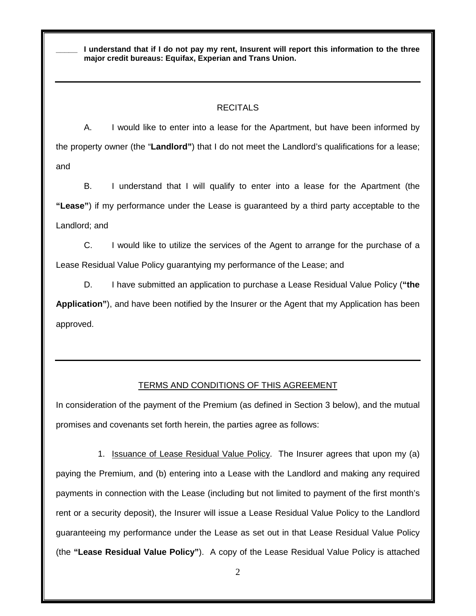**\_\_\_\_\_ I understand that if I do not pay my rent, Insurent will report this information to the three major credit bureaus: Equifax, Experian and Trans Union.** 

## RECITALS

A. I would like to enter into a lease for the Apartment, but have been informed by the property owner (the "**Landlord"**) that I do not meet the Landlord's qualifications for a lease; and

B. I understand that I will qualify to enter into a lease for the Apartment (the **"Lease"**) if my performance under the Lease is guaranteed by a third party acceptable to the Landlord; and

C. I would like to utilize the services of the Agent to arrange for the purchase of a Lease Residual Value Policy guarantying my performance of the Lease; and

D. I have submitted an application to purchase a Lease Residual Value Policy (**"the Application"**), and have been notified by the Insurer or the Agent that my Application has been approved.

## TERMS AND CONDITIONS OF THIS AGREEMENT

In consideration of the payment of the Premium (as defined in Section 3 below), and the mutual promises and covenants set forth herein, the parties agree as follows:

1. Issuance of Lease Residual Value Policy. The Insurer agrees that upon my (a) paying the Premium, and (b) entering into a Lease with the Landlord and making any required payments in connection with the Lease (including but not limited to payment of the first month's rent or a security deposit), the Insurer will issue a Lease Residual Value Policy to the Landlord guaranteeing my performance under the Lease as set out in that Lease Residual Value Policy (the **"Lease Residual Value Policy"**). A copy of the Lease Residual Value Policy is attached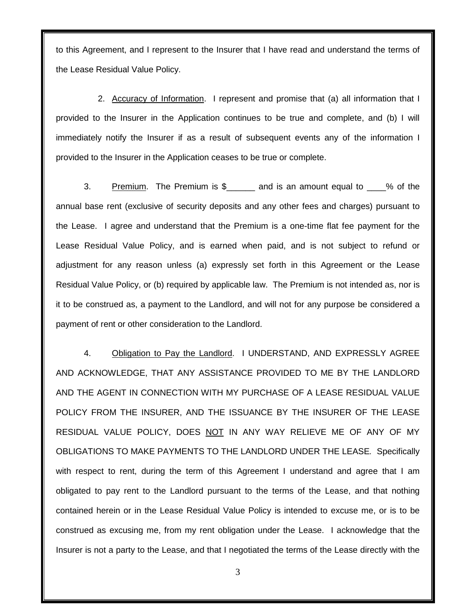to this Agreement, and I represent to the Insurer that I have read and understand the terms of the Lease Residual Value Policy.

2. Accuracy of Information. I represent and promise that (a) all information that I provided to the Insurer in the Application continues to be true and complete, and (b) I will immediately notify the Insurer if as a result of subsequent events any of the information I provided to the Insurer in the Application ceases to be true or complete.

3. Premium. The Premium is \$\_\_\_\_\_\_ and is an amount equal to \_\_\_% of the annual base rent (exclusive of security deposits and any other fees and charges) pursuant to the Lease. I agree and understand that the Premium is a one-time flat fee payment for the Lease Residual Value Policy, and is earned when paid, and is not subject to refund or adjustment for any reason unless (a) expressly set forth in this Agreement or the Lease Residual Value Policy, or (b) required by applicable law. The Premium is not intended as, nor is it to be construed as, a payment to the Landlord, and will not for any purpose be considered a payment of rent or other consideration to the Landlord.

4. Obligation to Pay the Landlord. I UNDERSTAND, AND EXPRESSLY AGREE AND ACKNOWLEDGE, THAT ANY ASSISTANCE PROVIDED TO ME BY THE LANDLORD AND THE AGENT IN CONNECTION WITH MY PURCHASE OF A LEASE RESIDUAL VALUE POLICY FROM THE INSURER, AND THE ISSUANCE BY THE INSURER OF THE LEASE RESIDUAL VALUE POLICY, DOES NOT IN ANY WAY RELIEVE ME OF ANY OF MY OBLIGATIONS TO MAKE PAYMENTS TO THE LANDLORD UNDER THE LEASE. Specifically with respect to rent, during the term of this Agreement I understand and agree that I am obligated to pay rent to the Landlord pursuant to the terms of the Lease, and that nothing contained herein or in the Lease Residual Value Policy is intended to excuse me, or is to be construed as excusing me, from my rent obligation under the Lease. I acknowledge that the Insurer is not a party to the Lease, and that I negotiated the terms of the Lease directly with the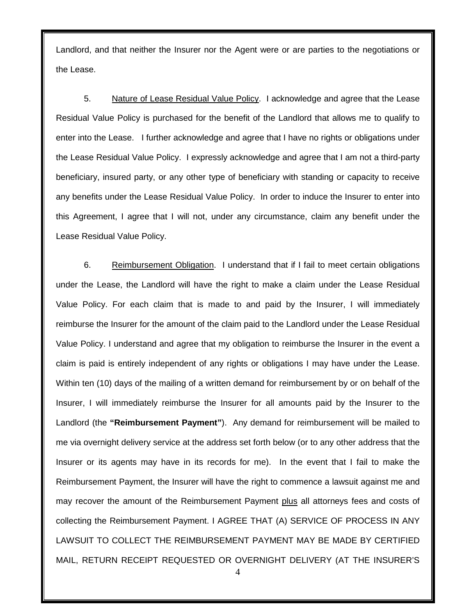Landlord, and that neither the Insurer nor the Agent were or are parties to the negotiations or the Lease.

5. Nature of Lease Residual Value Policy. I acknowledge and agree that the Lease Residual Value Policy is purchased for the benefit of the Landlord that allows me to qualify to enter into the Lease. I further acknowledge and agree that I have no rights or obligations under the Lease Residual Value Policy. I expressly acknowledge and agree that I am not a third-party beneficiary, insured party, or any other type of beneficiary with standing or capacity to receive any benefits under the Lease Residual Value Policy. In order to induce the Insurer to enter into this Agreement, I agree that I will not, under any circumstance, claim any benefit under the Lease Residual Value Policy.

6. Reimbursement Obligation. I understand that if I fail to meet certain obligations under the Lease, the Landlord will have the right to make a claim under the Lease Residual Value Policy. For each claim that is made to and paid by the Insurer, I will immediately reimburse the Insurer for the amount of the claim paid to the Landlord under the Lease Residual Value Policy. I understand and agree that my obligation to reimburse the Insurer in the event a claim is paid is entirely independent of any rights or obligations I may have under the Lease. Within ten (10) days of the mailing of a written demand for reimbursement by or on behalf of the Insurer, I will immediately reimburse the Insurer for all amounts paid by the Insurer to the Landlord (the **"Reimbursement Payment"**). Any demand for reimbursement will be mailed to me via overnight delivery service at the address set forth below (or to any other address that the Insurer or its agents may have in its records for me). In the event that I fail to make the Reimbursement Payment, the Insurer will have the right to commence a lawsuit against me and may recover the amount of the Reimbursement Payment plus all attorneys fees and costs of collecting the Reimbursement Payment. I AGREE THAT (A) SERVICE OF PROCESS IN ANY LAWSUIT TO COLLECT THE REIMBURSEMENT PAYMENT MAY BE MADE BY CERTIFIED MAIL, RETURN RECEIPT REQUESTED OR OVERNIGHT DELIVERY (AT THE INSURER'S

4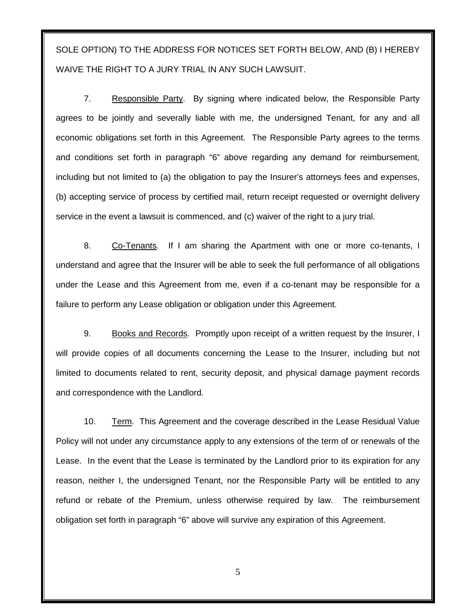SOLE OPTION) TO THE ADDRESS FOR NOTICES SET FORTH BELOW, AND (B) I HEREBY WAIVE THE RIGHT TO A JURY TRIAL IN ANY SUCH LAWSUIT.

7. Responsible Party. By signing where indicated below, the Responsible Party agrees to be jointly and severally liable with me, the undersigned Tenant, for any and all economic obligations set forth in this Agreement. The Responsible Party agrees to the terms and conditions set forth in paragraph "6" above regarding any demand for reimbursement, including but not limited to (a) the obligation to pay the Insurer's attorneys fees and expenses, (b) accepting service of process by certified mail, return receipt requested or overnight delivery service in the event a lawsuit is commenced, and (c) waiver of the right to a jury trial.

8. Co-Tenants. If I am sharing the Apartment with one or more co-tenants, I understand and agree that the Insurer will be able to seek the full performance of all obligations under the Lease and this Agreement from me, even if a co-tenant may be responsible for a failure to perform any Lease obligation or obligation under this Agreement.

9. Books and Records. Promptly upon receipt of a written request by the Insurer, I will provide copies of all documents concerning the Lease to the Insurer, including but not limited to documents related to rent, security deposit, and physical damage payment records and correspondence with the Landlord.

10. Term. This Agreement and the coverage described in the Lease Residual Value Policy will not under any circumstance apply to any extensions of the term of or renewals of the Lease. In the event that the Lease is terminated by the Landlord prior to its expiration for any reason, neither I, the undersigned Tenant, nor the Responsible Party will be entitled to any refund or rebate of the Premium, unless otherwise required by law. The reimbursement obligation set forth in paragraph "6" above will survive any expiration of this Agreement.

5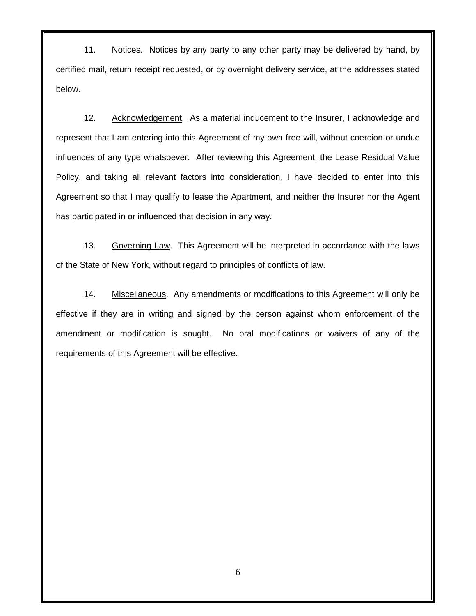11. Notices. Notices by any party to any other party may be delivered by hand, by certified mail, return receipt requested, or by overnight delivery service, at the addresses stated below.

12. Acknowledgement. As a material inducement to the Insurer, I acknowledge and represent that I am entering into this Agreement of my own free will, without coercion or undue influences of any type whatsoever. After reviewing this Agreement, the Lease Residual Value Policy, and taking all relevant factors into consideration, I have decided to enter into this Agreement so that I may qualify to lease the Apartment, and neither the Insurer nor the Agent has participated in or influenced that decision in any way.

13. Governing Law. This Agreement will be interpreted in accordance with the laws of the State of New York, without regard to principles of conflicts of law.

14. Miscellaneous. Any amendments or modifications to this Agreement will only be effective if they are in writing and signed by the person against whom enforcement of the amendment or modification is sought. No oral modifications or waivers of any of the requirements of this Agreement will be effective.